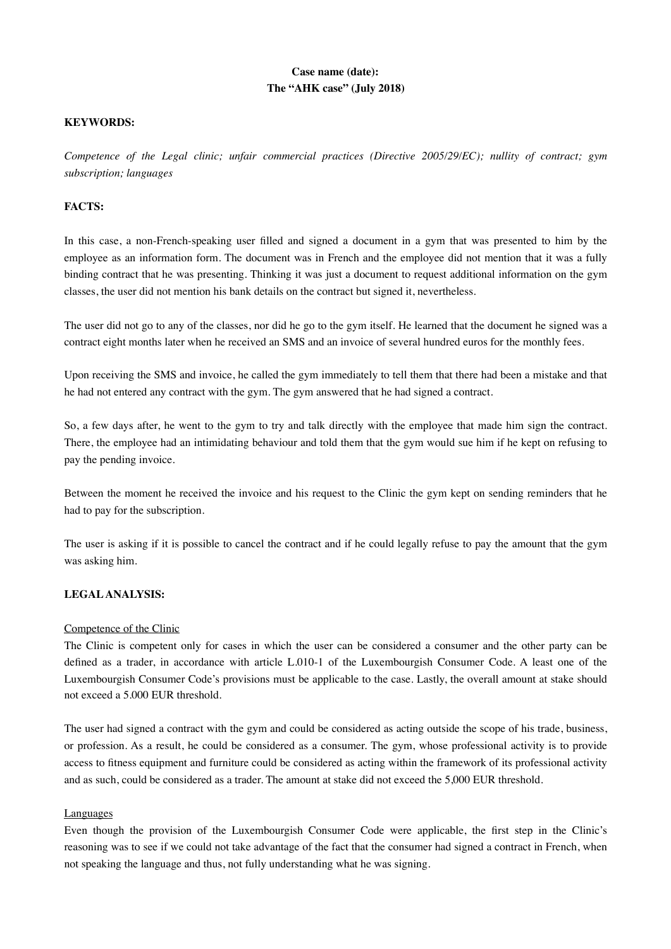# **Case name (date): The "AHK case" (July 2018)**

# **KEYWORDS:**

*Competence of the Legal clinic; unfair commercial practices (Directive 2005/29/EC); nullity of contract; gym subscription; languages*

# **FACTS:**

In this case, a non-French-speaking user filled and signed a document in a gym that was presented to him by the employee as an information form. The document was in French and the employee did not mention that it was a fully binding contract that he was presenting. Thinking it was just a document to request additional information on the gym classes, the user did not mention his bank details on the contract but signed it, nevertheless.

The user did not go to any of the classes, nor did he go to the gym itself. He learned that the document he signed was a contract eight months later when he received an SMS and an invoice of several hundred euros for the monthly fees.

Upon receiving the SMS and invoice, he called the gym immediately to tell them that there had been a mistake and that he had not entered any contract with the gym. The gym answered that he had signed a contract.

So, a few days after, he went to the gym to try and talk directly with the employee that made him sign the contract. There, the employee had an intimidating behaviour and told them that the gym would sue him if he kept on refusing to pay the pending invoice.

Between the moment he received the invoice and his request to the Clinic the gym kept on sending reminders that he had to pay for the subscription.

The user is asking if it is possible to cancel the contract and if he could legally refuse to pay the amount that the gym was asking him.

#### **LEGAL ANALYSIS:**

#### Competence of the Clinic

The Clinic is competent only for cases in which the user can be considered a consumer and the other party can be defined as a trader, in accordance with article L.010-1 of the Luxembourgish Consumer Code. A least one of the Luxembourgish Consumer Code's provisions must be applicable to the case. Lastly, the overall amount at stake should not exceed a 5.000 EUR threshold.

The user had signed a contract with the gym and could be considered as acting outside the scope of his trade, business, or profession. As a result, he could be considered as a consumer. The gym, whose professional activity is to provide access to fitness equipment and furniture could be considered as acting within the framework of its professional activity and as such, could be considered as a trader. The amount at stake did not exceed the 5,000 EUR threshold.

#### Languages

Even though the provision of the Luxembourgish Consumer Code were applicable, the first step in the Clinic's reasoning was to see if we could not take advantage of the fact that the consumer had signed a contract in French, when not speaking the language and thus, not fully understanding what he was signing.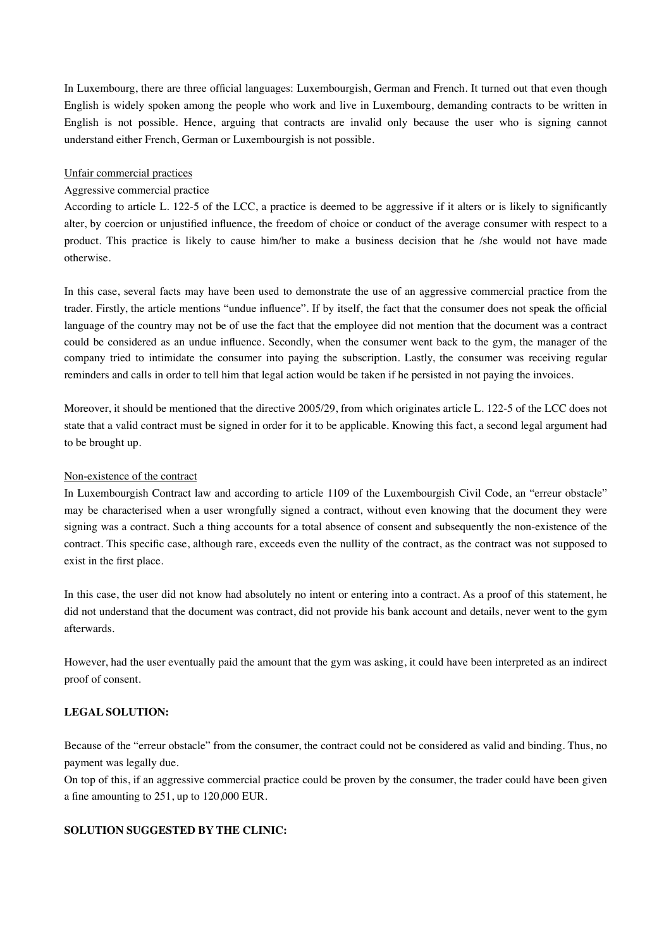In Luxembourg, there are three official languages: Luxembourgish, German and French. It turned out that even though English is widely spoken among the people who work and live in Luxembourg, demanding contracts to be written in English is not possible. Hence, arguing that contracts are invalid only because the user who is signing cannot understand either French, German or Luxembourgish is not possible.

#### Unfair commercial practices

## Aggressive commercial practice

According to article L. 122-5 of the LCC, a practice is deemed to be aggressive if it alters or is likely to significantly alter, by coercion or unjustified influence, the freedom of choice or conduct of the average consumer with respect to a product. This practice is likely to cause him/her to make a business decision that he /she would not have made otherwise.

In this case, several facts may have been used to demonstrate the use of an aggressive commercial practice from the trader. Firstly, the article mentions "undue influence". If by itself, the fact that the consumer does not speak the official language of the country may not be of use the fact that the employee did not mention that the document was a contract could be considered as an undue influence. Secondly, when the consumer went back to the gym, the manager of the company tried to intimidate the consumer into paying the subscription. Lastly, the consumer was receiving regular reminders and calls in order to tell him that legal action would be taken if he persisted in not paying the invoices.

Moreover, it should be mentioned that the directive 2005/29, from which originates article L. 122-5 of the LCC does not state that a valid contract must be signed in order for it to be applicable. Knowing this fact, a second legal argument had to be brought up.

#### Non-existence of the contract

In Luxembourgish Contract law and according to article 1109 of the Luxembourgish Civil Code, an "erreur obstacle" may be characterised when a user wrongfully signed a contract, without even knowing that the document they were signing was a contract. Such a thing accounts for a total absence of consent and subsequently the non-existence of the contract. This specific case, although rare, exceeds even the nullity of the contract, as the contract was not supposed to exist in the first place.

In this case, the user did not know had absolutely no intent or entering into a contract. As a proof of this statement, he did not understand that the document was contract, did not provide his bank account and details, never went to the gym afterwards.

However, had the user eventually paid the amount that the gym was asking, it could have been interpreted as an indirect proof of consent.

# **LEGAL SOLUTION:**

Because of the "erreur obstacle" from the consumer, the contract could not be considered as valid and binding. Thus, no payment was legally due.

On top of this, if an aggressive commercial practice could be proven by the consumer, the trader could have been given a fine amounting to 251, up to 120,000 EUR.

## **SOLUTION SUGGESTED BY THE CLINIC:**